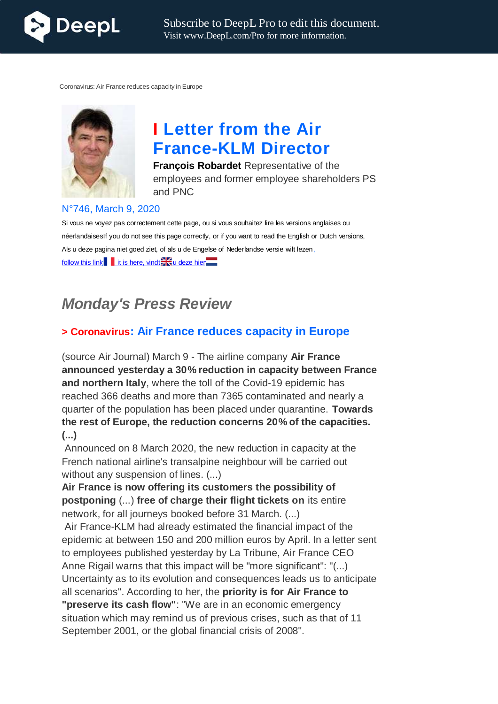

Coronavirus: Air France reduces capacity in Europe



# **I Letter from the Air France-KLM Director**

**François Robardet** Representative of the employees and former employee shareholders PS and PNC

#### N°746, March 9, 2020

Si vous ne voyez pas correctement cette page, ou si vous souhaitez lire les versions anglaises ou néerlandaisesIf you do not see this page correctly, or if you want to read the English or Dutch versions, Als u deze pagina niet goed ziet, of als u de Engelse of Nederlandse versie wilt lezen, follow this link  $\|\cdot\|$  it is here, vindt $\mathbb{R}$  u deze hier $\mathbb{R}$ 

# *Monday's Press Review*

# **> Coronavirus: Air France reduces capacity in Europe**

(source Air Journal) March 9 - The airline company **Air France announced yesterday a 30% reduction in capacity between France and northern Italy**, where the toll of the Covid-19 epidemic has reached 366 deaths and more than 7365 contaminated and nearly a quarter of the population has been placed under quarantine. **Towards the rest of Europe, the reduction concerns 20% of the capacities. (...)**

Announced on 8 March 2020, the new reduction in capacity at the French national airline's transalpine neighbour will be carried out without any suspension of lines. (...)

**Air France is now offering its customers the possibility of postponing** (...) **free of charge their flight tickets on** its entire network, for all journeys booked before 31 March. (...)

Air France-KLM had already estimated the financial impact of the epidemic at between 150 and 200 million euros by April. In a letter sent to employees published yesterday by La Tribune, Air France CEO Anne Rigail warns that this impact will be "more significant": "(...) Uncertainty as to its evolution and consequences leads us to anticipate all scenarios". According to her, the **priority is for Air France to "preserve its cash flow"**: "We are in an economic emergency situation which may remind us of previous crises, such as that of 11 September 2001, or the global financial crisis of 2008".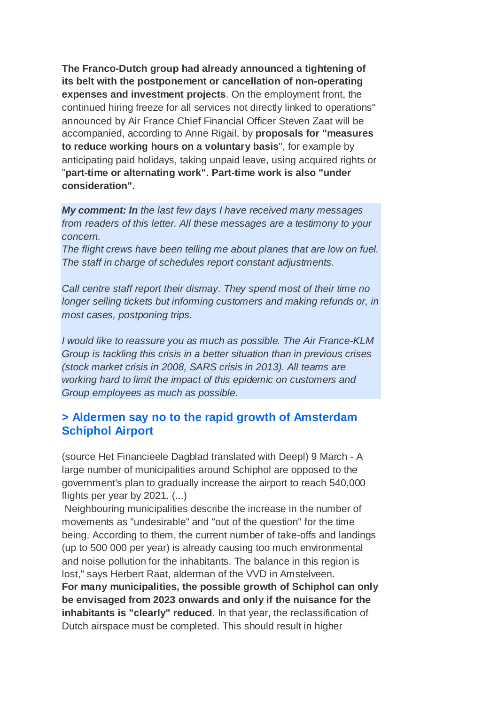**The Franco-Dutch group had already announced a tightening of its belt with the postponement or cancellation of non-operating expenses and investment projects**. On the employment front, the continued hiring freeze for all services not directly linked to operations" announced by Air France Chief Financial Officer Steven Zaat will be accompanied, according to Anne Rigail, by **proposals for "measures to reduce working hours on a voluntary basis**", for example by anticipating paid holidays, taking unpaid leave, using acquired rights or "**part-time or alternating work". Part-time work is also "under consideration".**

*My comment: In the last few days I have received many messages from readers of this letter. All these messages are a testimony to your concern.*

*The flight crews have been telling me about planes that are low on fuel. The staff in charge of schedules report constant adjustments.*

*Call centre staff report their dismay. They spend most of their time no longer selling tickets but informing customers and making refunds or, in most cases, postponing trips.*

*I would like to reassure you as much as possible. The Air France-KLM Group is tackling this crisis in a better situation than in previous crises (stock market crisis in 2008, SARS crisis in 2013). All teams are working hard to limit the impact of this epidemic on customers and Group employees as much as possible.*

#### **> Aldermen say no to the rapid growth of Amsterdam Schiphol Airport**

(source Het Financieele Dagblad translated with Deepl) 9 March - A large number of municipalities around Schiphol are opposed to the government's plan to gradually increase the airport to reach 540,000 flights per year by 2021. (...)

Neighbouring municipalities describe the increase in the number of movements as "undesirable" and "out of the question" for the time being. According to them, the current number of take-offs and landings (up to 500 000 per year) is already causing too much environmental and noise pollution for the inhabitants. The balance in this region is lost," says Herbert Raat, alderman of the VVD in Amstelveen. **For many municipalities, the possible growth of Schiphol can only be envisaged from 2023 onwards and only if the nuisance for the inhabitants is "clearly" reduced**. In that year, the reclassification of Dutch airspace must be completed. This should result in higher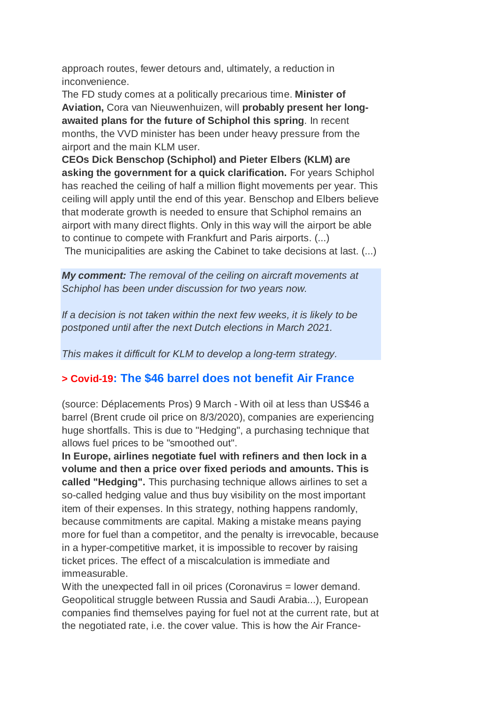approach routes, fewer detours and, ultimately, a reduction in inconvenience.

The FD study comes at a politically precarious time. **Minister of Aviation,** Cora van Nieuwenhuizen, will **probably present her longawaited plans for the future of Schiphol this spring**. In recent months, the VVD minister has been under heavy pressure from the airport and the main KLM user.

**CEOs Dick Benschop (Schiphol) and Pieter Elbers (KLM) are asking the government for a quick clarification.** For years Schiphol has reached the ceiling of half a million flight movements per year. This ceiling will apply until the end of this year. Benschop and Elbers believe that moderate growth is needed to ensure that Schiphol remains an airport with many direct flights. Only in this way will the airport be able to continue to compete with Frankfurt and Paris airports. (...)

The municipalities are asking the Cabinet to take decisions at last. (...)

*My comment: The removal of the ceiling on aircraft movements at Schiphol has been under discussion for two years now.*

*If a decision is not taken within the next few weeks, it is likely to be postponed until after the next Dutch elections in March 2021.*

*This makes it difficult for KLM to develop a long-term strategy.*

# **> Covid-19: The \$46 barrel does not benefit Air France**

(source: Déplacements Pros) 9 March - With oil at less than US\$46 a barrel (Brent crude oil price on 8/3/2020), companies are experiencing huge shortfalls. This is due to "Hedging", a purchasing technique that allows fuel prices to be "smoothed out".

**In Europe, airlines negotiate fuel with refiners and then lock in a volume and then a price over fixed periods and amounts. This is called "Hedging".** This purchasing technique allows airlines to set a so-called hedging value and thus buy visibility on the most important item of their expenses. In this strategy, nothing happens randomly, because commitments are capital. Making a mistake means paying more for fuel than a competitor, and the penalty is irrevocable, because in a hyper-competitive market, it is impossible to recover by raising ticket prices. The effect of a miscalculation is immediate and immeasurable.

With the unexpected fall in oil prices (Coronavirus = lower demand. Geopolitical struggle between Russia and Saudi Arabia...), European companies find themselves paying for fuel not at the current rate, but at the negotiated rate, i.e. the cover value. This is how the Air France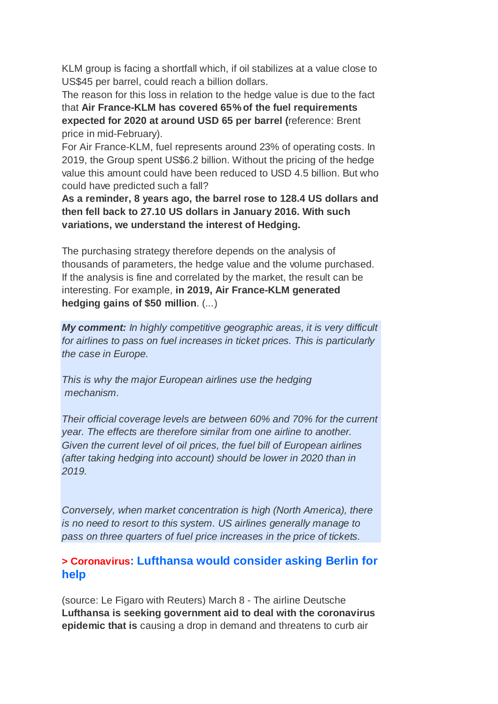KLM group is facing a shortfall which, if oil stabilizes at a value close to US\$45 per barrel, could reach a billion dollars.

The reason for this loss in relation to the hedge value is due to the fact that **Air France-KLM has covered 65% of the fuel requirements expected for 2020 at around USD 65 per barrel (**reference: Brent price in mid-February).

For Air France-KLM, fuel represents around 23% of operating costs. In 2019, the Group spent US\$6.2 billion. Without the pricing of the hedge value this amount could have been reduced to USD 4.5 billion. But who could have predicted such a fall?

**As a reminder, 8 years ago, the barrel rose to 128.4 US dollars and then fell back to 27.10 US dollars in January 2016. With such variations, we understand the interest of Hedging.**

The purchasing strategy therefore depends on the analysis of thousands of parameters, the hedge value and the volume purchased. If the analysis is fine and correlated by the market, the result can be interesting. For example, **in 2019, Air France-KLM generated hedging gains of \$50 million**. (...)

*My comment: In highly competitive geographic areas, it is very difficult for airlines to pass on fuel increases in ticket prices. This is particularly the case in Europe.*

*This is why the major European airlines use the hedging mechanism.*

*Their official coverage levels are between 60% and 70% for the current year. The effects are therefore similar from one airline to another. Given the current level of oil prices, the fuel bill of European airlines (after taking hedging into account) should be lower in 2020 than in 2019.*

*Conversely, when market concentration is high (North America), there is no need to resort to this system. US airlines generally manage to pass on three quarters of fuel price increases in the price of tickets.*

#### **> Coronavirus: Lufthansa would consider asking Berlin for help**

(source: Le Figaro with Reuters) March 8 - The airline Deutsche **Lufthansa is seeking government aid to deal with the coronavirus epidemic that is** causing a drop in demand and threatens to curb air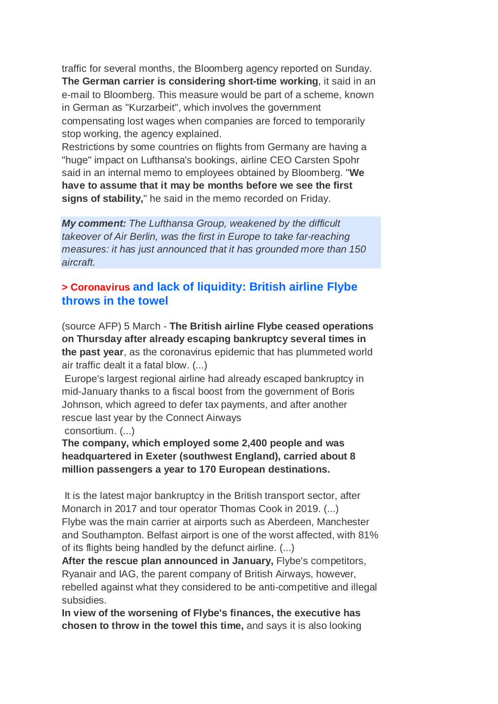traffic for several months, the Bloomberg agency reported on Sunday. **The German carrier is considering short-time working**, it said in an e-mail to Bloomberg. This measure would be part of a scheme, known in German as "Kurzarbeit", which involves the government compensating lost wages when companies are forced to temporarily stop working, the agency explained.

Restrictions by some countries on flights from Germany are having a "huge" impact on Lufthansa's bookings, airline CEO Carsten Spohr said in an internal memo to employees obtained by Bloomberg. "**We have to assume that it may be months before we see the first signs of stability,**" he said in the memo recorded on Friday.

*My comment: The Lufthansa Group, weakened by the difficult takeover of Air Berlin, was the first in Europe to take far-reaching measures: it has just announced that it has grounded more than 150 aircraft.*

#### **> Coronavirus and lack of liquidity: British airline Flybe throws in the towel**

(source AFP) 5 March - **The British airline Flybe ceased operations on Thursday after already escaping bankruptcy several times in the past year**, as the coronavirus epidemic that has plummeted world air traffic dealt it a fatal blow. (...)

Europe's largest regional airline had already escaped bankruptcy in mid-January thanks to a fiscal boost from the government of Boris Johnson, which agreed to defer tax payments, and after another rescue last year by the Connect Airways consortium. (...)

**The company, which employed some 2,400 people and was headquartered in Exeter (southwest England), carried about 8 million passengers a year to 170 European destinations.**

It is the latest major bankruptcy in the British transport sector, after Monarch in 2017 and tour operator Thomas Cook in 2019. (...) Flybe was the main carrier at airports such as Aberdeen, Manchester and Southampton. Belfast airport is one of the worst affected, with 81% of its flights being handled by the defunct airline. (...)

**After the rescue plan announced in January,** Flybe's competitors, Ryanair and IAG, the parent company of British Airways, however, rebelled against what they considered to be anti-competitive and illegal subsidies.

**In view of the worsening of Flybe's finances, the executive has chosen to throw in the towel this time,** and says it is also looking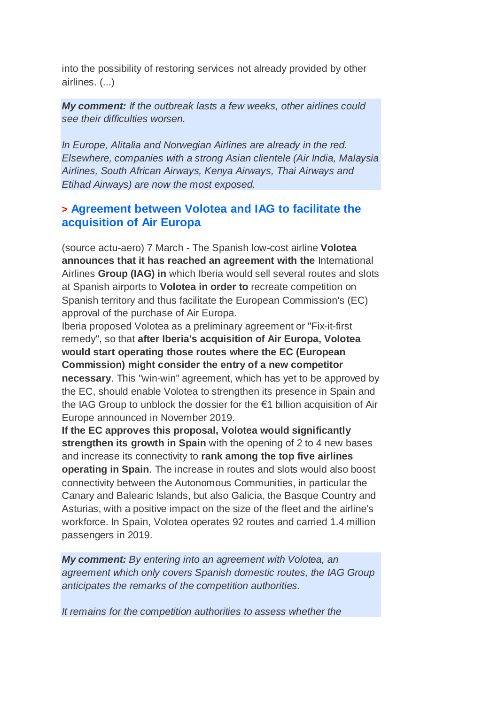into the possibility of restoring services not already provided by other airlines. (...)

*My comment: If the outbreak lasts a few weeks, other airlines could see their difficulties worsen.*

*In Europe, Alitalia and Norwegian Airlines are already in the red. Elsewhere, companies with a strong Asian clientele (Air India, Malaysia Airlines, South African Airways, Kenya Airways, Thai Airways and Etihad Airways) are now the most exposed.*

#### **> Agreement between Volotea and IAG to facilitate the acquisition of Air Europa**

(source actu-aero) 7 March - The Spanish low-cost airline **Volotea announces that it has reached an agreement with the** International Airlines **Group (IAG) in** which Iberia would sell several routes and slots at Spanish airports to **Volotea in order to** recreate competition on Spanish territory and thus facilitate the European Commission's (EC) approval of the purchase of Air Europa.

Iberia proposed Volotea as a preliminary agreement or "Fix-it-first remedy", so that **after Iberia's acquisition of Air Europa, Volotea would start operating those routes where the EC (European Commission) might consider the entry of a new competitor necessary**. This "win-win" agreement, which has yet to be approved by the EC, should enable Volotea to strengthen its presence in Spain and the IAG Group to unblock the dossier for the €1 billion acquisition of Air Europe announced in November 2019.

**If the EC approves this proposal, Volotea would significantly strengthen its growth in Spain** with the opening of 2 to 4 new bases and increase its connectivity to **rank among the top five airlines operating in Spain**. The increase in routes and slots would also boost connectivity between the Autonomous Communities, in particular the Canary and Balearic Islands, but also Galicia, the Basque Country and Asturias, with a positive impact on the size of the fleet and the airline's workforce. In Spain, Volotea operates 92 routes and carried 1.4 million passengers in 2019.

*My comment: By entering into an agreement with Volotea, an agreement which only covers Spanish domestic routes, the IAG Group anticipates the remarks of the competition authorities.*

*It remains for the competition authorities to assess whether the*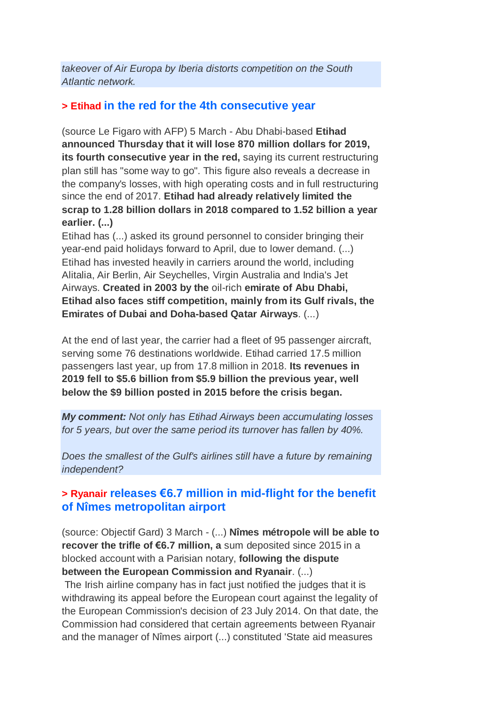*takeover of Air Europa by Iberia distorts competition on the South Atlantic network.*

### **> Etihad in the red for the 4th consecutive year**

(source Le Figaro with AFP) 5 March - Abu Dhabi-based **Etihad announced Thursday that it will lose 870 million dollars for 2019, its fourth consecutive year in the red,** saying its current restructuring plan still has "some way to go". This figure also reveals a decrease in the company's losses, with high operating costs and in full restructuring since the end of 2017. **Etihad had already relatively limited the scrap to 1.28 billion dollars in 2018 compared to 1.52 billion a year earlier. (...)**

Etihad has (...) asked its ground personnel to consider bringing their year-end paid holidays forward to April, due to lower demand. (...) Etihad has invested heavily in carriers around the world, including Alitalia, Air Berlin, Air Seychelles, Virgin Australia and India's Jet Airways. **Created in 2003 by the** oil-rich **emirate of Abu Dhabi, Etihad also faces stiff competition, mainly from its Gulf rivals, the Emirates of Dubai and Doha-based Qatar Airways**. (...)

At the end of last year, the carrier had a fleet of 95 passenger aircraft, serving some 76 destinations worldwide. Etihad carried 17.5 million passengers last year, up from 17.8 million in 2018. **Its revenues in 2019 fell to \$5.6 billion from \$5.9 billion the previous year, well below the \$9 billion posted in 2015 before the crisis began.**

*My comment: Not only has Etihad Airways been accumulating losses for 5 years, but over the same period its turnover has fallen by 40%.*

*Does the smallest of the Gulf's airlines still have a future by remaining independent?*

## **> Ryanair releases €6.7 million in mid-flight for the benefit of Nîmes metropolitan airport**

(source: Objectif Gard) 3 March - (...) **Nîmes métropole will be able to recover the trifle of €6.7 million, a** sum deposited since 2015 in a blocked account with a Parisian notary, **following the dispute between the European Commission and Ryanair**. (...)

The Irish airline company has in fact just notified the judges that it is withdrawing its appeal before the European court against the legality of the European Commission's decision of 23 July 2014. On that date, the Commission had considered that certain agreements between Ryanair and the manager of Nîmes airport (...) constituted 'State aid measures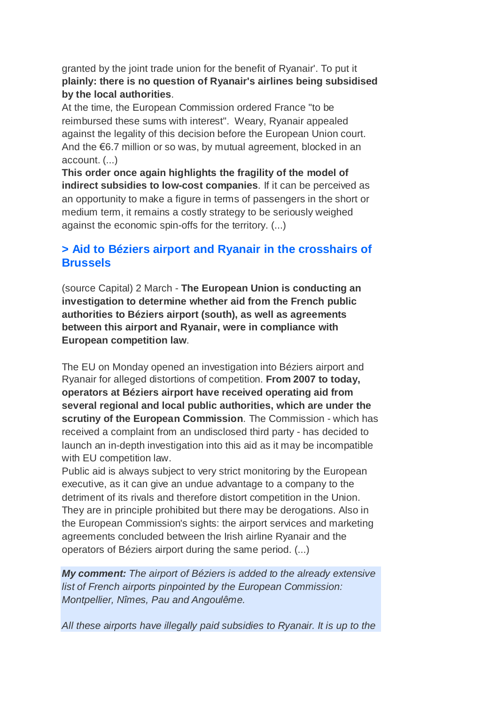granted by the joint trade union for the benefit of Ryanair'. To put it **plainly: there is no question of Ryanair's airlines being subsidised by the local authorities**.

At the time, the European Commission ordered France "to be reimbursed these sums with interest". Weary, Ryanair appealed against the legality of this decision before the European Union court. And the €6.7 million or so was, by mutual agreement, blocked in an account. (...)

**This order once again highlights the fragility of the model of indirect subsidies to low-cost companies**. If it can be perceived as an opportunity to make a figure in terms of passengers in the short or medium term, it remains a costly strategy to be seriously weighed against the economic spin-offs for the territory. (...)

# **> Aid to Béziers airport and Ryanair in the crosshairs of Brussels**

(source Capital) 2 March - **The European Union is conducting an investigation to determine whether aid from the French public authorities to Béziers airport (south), as well as agreements between this airport and Ryanair, were in compliance with European competition law**.

The EU on Monday opened an investigation into Béziers airport and Ryanair for alleged distortions of competition. **From 2007 to today, operators at Béziers airport have received operating aid from several regional and local public authorities, which are under the scrutiny of the European Commission**. The Commission - which has received a complaint from an undisclosed third party - has decided to launch an in-depth investigation into this aid as it may be incompatible with EU competition law.

Public aid is always subject to very strict monitoring by the European executive, as it can give an undue advantage to a company to the detriment of its rivals and therefore distort competition in the Union. They are in principle prohibited but there may be derogations. Also in the European Commission's sights: the airport services and marketing agreements concluded between the Irish airline Ryanair and the operators of Béziers airport during the same period. (...)

*My comment: The airport of Béziers is added to the already extensive list of French airports pinpointed by the European Commission: Montpellier, Nîmes, Pau and Angoulême.*

*All these airports have illegally paid subsidies to Ryanair. It is up to the*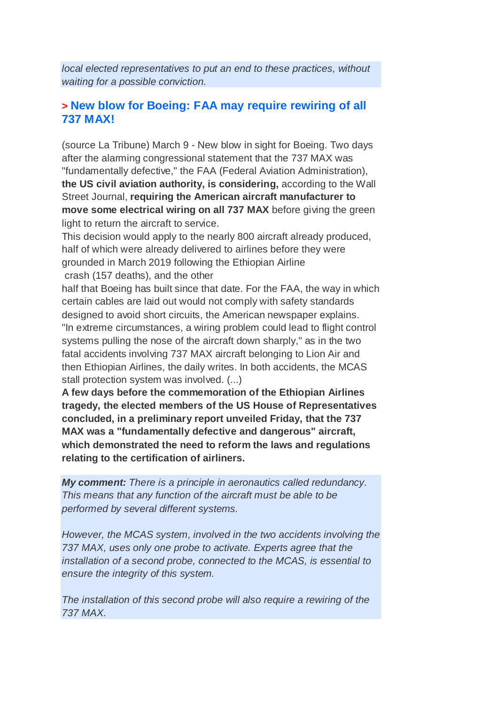*local elected representatives to put an end to these practices, without waiting for a possible conviction.*

# **> New blow for Boeing: FAA may require rewiring of all 737 MAX!**

(source La Tribune) March 9 - New blow in sight for Boeing. Two days after the alarming congressional statement that the 737 MAX was "fundamentally defective," the FAA (Federal Aviation Administration), **the US civil aviation authority, is considering,** according to the Wall Street Journal, **requiring the American aircraft manufacturer to move some electrical wiring on all 737 MAX** before giving the green light to return the aircraft to service.

This decision would apply to the nearly 800 aircraft already produced, half of which were already delivered to airlines before they were grounded in March 2019 following the Ethiopian Airline crash (157 deaths), and the other

half that Boeing has built since that date. For the FAA, the way in which certain cables are laid out would not comply with safety standards designed to avoid short circuits, the American newspaper explains. "In extreme circumstances, a wiring problem could lead to flight control systems pulling the nose of the aircraft down sharply," as in the two fatal accidents involving 737 MAX aircraft belonging to Lion Air and then Ethiopian Airlines, the daily writes. In both accidents, the MCAS stall protection system was involved. (...)

**A few days before the commemoration of the Ethiopian Airlines tragedy, the elected members of the US House of Representatives concluded, in a preliminary report unveiled Friday, that the 737 MAX was a "fundamentally defective and dangerous" aircraft, which demonstrated the need to reform the laws and regulations relating to the certification of airliners.**

*My comment: There is a principle in aeronautics called redundancy. This means that any function of the aircraft must be able to be performed by several different systems.*

*However, the MCAS system, involved in the two accidents involving the 737 MAX, uses only one probe to activate. Experts agree that the installation of a second probe, connected to the MCAS, is essential to ensure the integrity of this system.*

*The installation of this second probe will also require a rewiring of the 737 MAX.*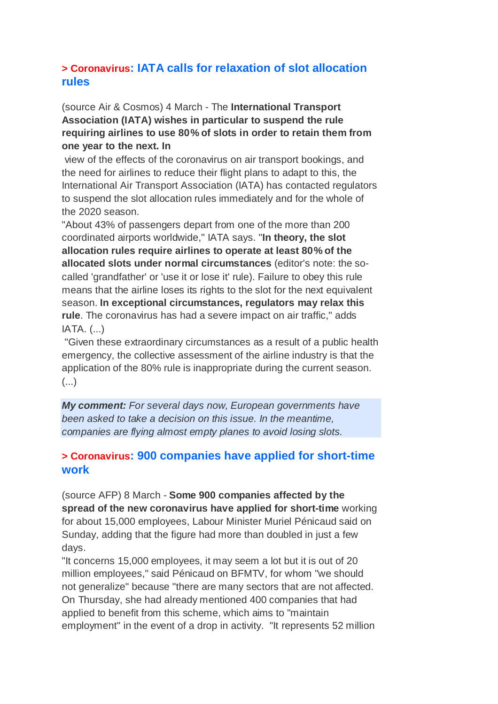### **> Coronavirus: IATA calls for relaxation of slot allocation rules**

(source Air & Cosmos) 4 March - The **International Transport Association (IATA) wishes in particular to suspend the rule requiring airlines to use 80% of slots in order to retain them from one year to the next. In**

view of the effects of the coronavirus on air transport bookings, and the need for airlines to reduce their flight plans to adapt to this, the International Air Transport Association (IATA) has contacted regulators to suspend the slot allocation rules immediately and for the whole of the 2020 season.

"About 43% of passengers depart from one of the more than 200 coordinated airports worldwide," IATA says. "**In theory, the slot allocation rules require airlines to operate at least 80% of the allocated slots under normal circumstances** (editor's note: the socalled 'grandfather' or 'use it or lose it' rule). Failure to obey this rule means that the airline loses its rights to the slot for the next equivalent season. **In exceptional circumstances, regulators may relax this rule**. The coronavirus has had a severe impact on air traffic," adds IATA. (...)

"Given these extraordinary circumstances as a result of a public health emergency, the collective assessment of the airline industry is that the application of the 80% rule is inappropriate during the current season. (...)

*My comment: For several days now, European governments have been asked to take a decision on this issue. In the meantime, companies are flying almost empty planes to avoid losing slots.*

#### **> Coronavirus: 900 companies have applied for short-time work**

(source AFP) 8 March - **Some 900 companies affected by the spread of the new coronavirus have applied for short-time** working for about 15,000 employees, Labour Minister Muriel Pénicaud said on Sunday, adding that the figure had more than doubled in just a few days.

"It concerns 15,000 employees, it may seem a lot but it is out of 20 million employees," said Pénicaud on BFMTV, for whom "we should not generalize" because "there are many sectors that are not affected. On Thursday, she had already mentioned 400 companies that had applied to benefit from this scheme, which aims to "maintain employment" in the event of a drop in activity. "It represents 52 million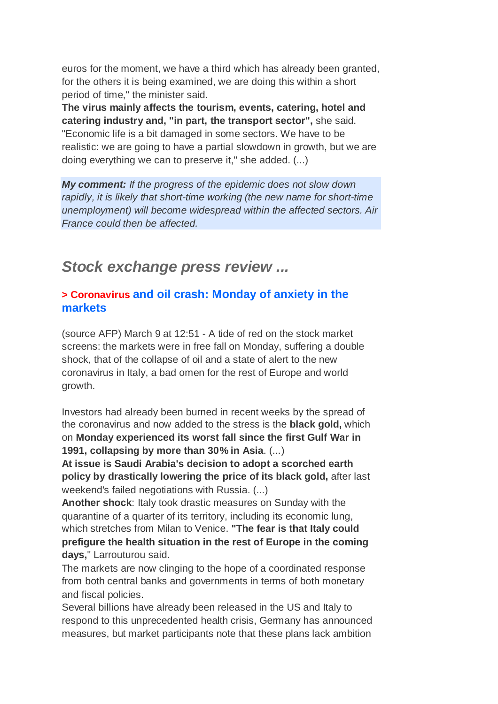euros for the moment, we have a third which has already been granted, for the others it is being examined, we are doing this within a short period of time," the minister said.

**The virus mainly affects the tourism, events, catering, hotel and catering industry and, "in part, the transport sector",** she said. "Economic life is a bit damaged in some sectors. We have to be realistic: we are going to have a partial slowdown in growth, but we are doing everything we can to preserve it," she added. (...)

*My comment: If the progress of the epidemic does not slow down rapidly, it is likely that short-time working (the new name for short-time unemployment) will become widespread within the affected sectors. Air France could then be affected.*

# *Stock exchange press review ...*

#### **> Coronavirus and oil crash: Monday of anxiety in the markets**

(source AFP) March 9 at 12:51 - A tide of red on the stock market screens: the markets were in free fall on Monday, suffering a double shock, that of the collapse of oil and a state of alert to the new coronavirus in Italy, a bad omen for the rest of Europe and world growth.

Investors had already been burned in recent weeks by the spread of the coronavirus and now added to the stress is the **black gold,** which on **Monday experienced its worst fall since the first Gulf War in 1991, collapsing by more than 30% in Asia**. (...)

**At issue is Saudi Arabia's decision to adopt a scorched earth policy by drastically lowering the price of its black gold,** after last weekend's failed negotiations with Russia. (...)

**Another shock**: Italy took drastic measures on Sunday with the quarantine of a quarter of its territory, including its economic lung, which stretches from Milan to Venice. **"The fear is that Italy could prefigure the health situation in the rest of Europe in the coming days,**" Larrouturou said.

The markets are now clinging to the hope of a coordinated response from both central banks and governments in terms of both monetary and fiscal policies.

Several billions have already been released in the US and Italy to respond to this unprecedented health crisis, Germany has announced measures, but market participants note that these plans lack ambition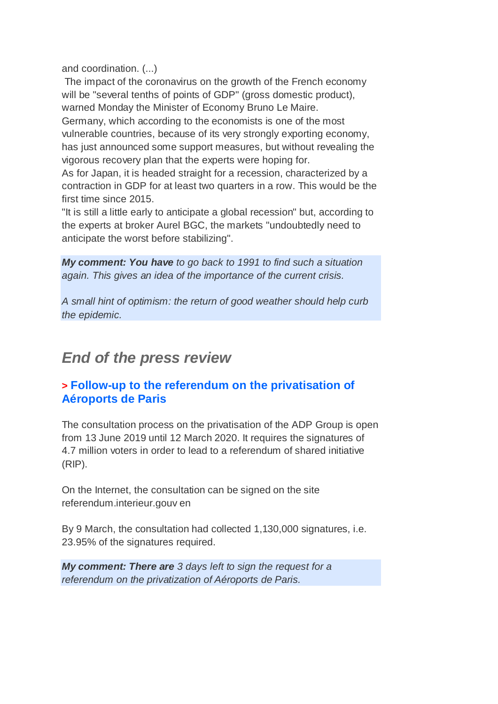and coordination. (...)

The impact of the coronavirus on the growth of the French economy will be "several tenths of points of GDP" (gross domestic product), warned Monday the Minister of Economy Bruno Le Maire. Germany, which according to the economists is one of the most vulnerable countries, because of its very strongly exporting economy, has just announced some support measures, but without revealing the vigorous recovery plan that the experts were hoping for.

As for Japan, it is headed straight for a recession, characterized by a contraction in GDP for at least two quarters in a row. This would be the first time since 2015.

"It is still a little early to anticipate a global recession" but, according to the experts at broker Aurel BGC, the markets "undoubtedly need to anticipate the worst before stabilizing".

*My comment: You have to go back to 1991 to find such a situation again. This gives an idea of the importance of the current crisis.*

*A small hint of optimism: the return of good weather should help curb the epidemic.*

# *End of the press review*

# **> Follow-up to the referendum on the privatisation of Aéroports de Paris**

The consultation process on the privatisation of the ADP Group is open from 13 June 2019 until 12 March 2020. It requires the signatures of 4.7 million voters in order to lead to a referendum of shared initiative (RIP).

On the Internet, the consultation can be signed on the site referendum.interieur.gouv en

By 9 March, the consultation had collected 1,130,000 signatures, i.e. 23.95% of the signatures required.

*My comment: There are 3 days left to sign the request for a referendum on the privatization of Aéroports de Paris.*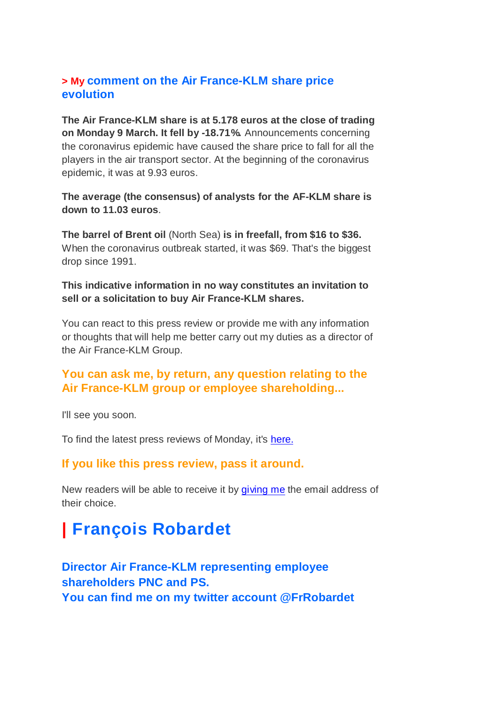### **> My comment on the Air France-KLM share price evolution**

**The Air France-KLM share is at 5.178 euros at the close of trading on Monday 9 March. It fell by -18.71%.** Announcements concerning the coronavirus epidemic have caused the share price to fall for all the players in the air transport sector. At the beginning of the coronavirus epidemic, it was at 9.93 euros.

**The average (the consensus) of analysts for the AF-KLM share is down to 11.03 euros**.

**The barrel of Brent oil** (North Sea) **is in freefall, from \$16 to \$36.** When the coronavirus outbreak started, it was \$69. That's the biggest drop since 1991.

**This indicative information in no way constitutes an invitation to sell or a solicitation to buy Air France-KLM shares.**

You can react to this press review or provide me with any information or thoughts that will help me better carry out my duties as a director of the Air France-KLM Group.

## **You can ask me, by return, any question relating to the Air France-KLM group or employee shareholding...**

I'll see you soon.

To find the latest press reviews of Monday, it's here.

#### **If you like this press review, pass it around.**

New readers will be able to receive it by giving me the email address of their choice.

# **| François Robardet**

**Director Air France-KLM representing employee shareholders PNC and PS. You can find me on my twitter account @FrRobardet**